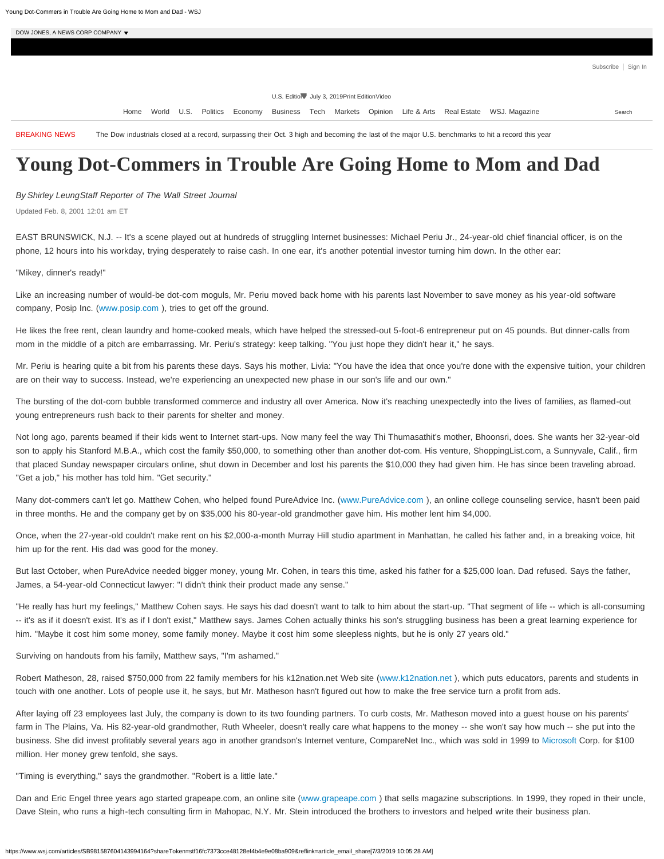Subscribe | Sign In

U.S. Edition July 3, 2019Print EditionVideo

Home World U.S. Politics Economy Business Tech Markets Opinion Life & Arts Real Estate WSJ. Magazine

BREAKING NEWS The Dow industrials closed at a record, surpassing their Oct. 3 high and becoming the last of the major U.S. benchmarks to hit a record this year

## **Young Dot-Commers in Trouble Are Going Home to Mom and Dad**

*By Shirley LeungStaff Reporter of The Wall Street Journal*

Updated Feb. 8, 2001 12:01 am ET

EAST BRUNSWICK, N.J. -- It's a scene played out at hundreds of struggling Internet businesses: Michael Periu Jr., 24-year-old chief financial officer, is on the phone, 12 hours into his workday, trying desperately to raise cash. In one ear, it's another potential investor turning him down. In the other ear:

"Mikey, dinner's ready!"

Like an increasing number of would-be dot-com moguls, Mr. Periu moved back home with his parents last November to save money as his year-old software company, Posip Inc. [\(www.posip.com](http://www.posip.com/?mod=article_inline) ), tries to get off the ground.

He likes the free rent, clean laundry and home-cooked meals, which have helped the stressed-out 5-foot-6 entrepreneur put on 45 pounds. But dinner-calls from mom in the middle of a pitch are embarrassing. Mr. Periu's strategy: keep talking. "You just hope they didn't hear it," he says.

Mr. Periu is hearing quite a bit from his parents these days. Says his mother, Livia: "You have the idea that once you're done with the expensive tuition, your children are on their way to success. Instead, we're experiencing an unexpected new phase in our son's life and our own."

The bursting of the dot-com bubble transformed commerce and industry all over America. Now it's reaching unexpectedly into the lives of families, as flamed-out young entrepreneurs rush back to their parents for shelter and money.

Not long ago, parents beamed if their kids went to Internet start-ups. Now many feel the way Thi Thumasathit's mother, Bhoonsri, does. She wants her 32-year-old son to apply his Stanford M.B.A., which cost the family \$50,000, to something other than another dot-com. His venture, ShoppingList.com, a Sunnyvale, Calif., firm that placed Sunday newspaper circulars online, shut down in December and lost his parents the \$10,000 they had given him. He has since been traveling abroad. "Get a job," his mother has told him. "Get security."

Many dot-commers can't let go. Matthew Cohen, who helped found PureAdvice Inc. [\(www.PureAdvice.com](http://www.pureadvice.com/?mod=article_inline) ), an online college counseling service, hasn't been paid in three months. He and the company get by on \$35,000 his 80-year-old grandmother gave him. His mother lent him \$4,000.

Once, when the 27-year-old couldn't make rent on his \$2,000-a-month Murray Hill studio apartment in Manhattan, he called his father and, in a breaking voice, hit him up for the rent. His dad was good for the money.

But last October, when PureAdvice needed bigger money, young Mr. Cohen, in tears this time, asked his father for a \$25,000 loan. Dad refused. Says the father, James, a 54-year-old Connecticut lawyer: "I didn't think their product made any sense."

"He really has hurt my feelings," Matthew Cohen says. He says his dad doesn't want to talk to him about the start-up. "That segment of life -- which is all-consuming -- it's as if it doesn't exist. It's as if I don't exist," Matthew says. James Cohen actually thinks his son's struggling business has been a great learning experience for him. "Maybe it cost him some money, some family money. Maybe it cost him some sleepless nights, but he is only 27 years old."

Surviving on handouts from his family, Matthew says, "I'm ashamed."

Robert Matheson, 28, raised \$750,000 from 22 family members for his k12nation.net Web site [\(www.k12nation.net](http://www.k12nation.net/?mod=article_inline) ), which puts educators, parents and students in touch with one another. Lots of people use it, he says, but Mr. Matheson hasn't figured out how to make the free service turn a profit from ads.

After laying off 23 employees last July, the company is down to its two founding partners. To curb costs, Mr. Matheson moved into a guest house on his parents' farm in The Plains, Va. His 82-year-old grandmother, Ruth Wheeler, doesn't really care what happens to the money -- she won't say how much -- she put into the business. She did invest profitably several years ago in another grandson's Internet venture, CompareNet Inc., which was sold in 1999 to [Microsoft](https://quotes.wsj.com/MSFT) Corp. for \$100 million. Her money grew tenfold, she says.

"Timing is everything," says the grandmother. "Robert is a little late."

Dan and Eric Engel three years ago started grapeape.com, an online site (www.grapeape.com) that sells magazine subscriptions. In 1999, they roped in their uncle, Dave Stein, who runs a high-tech consulting firm in Mahopac, N.Y. Mr. Stein introduced the brothers to investors and helped write their business plan.